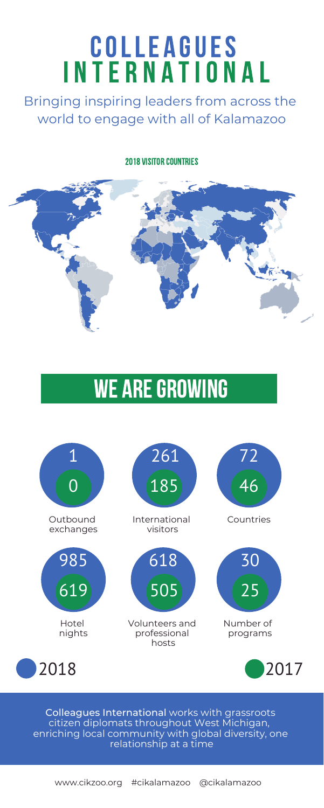## **COLLEAGUES** I N TE R N A T IO N A L

www.cikzoo.org #cikalamazoo @cikalamazoo

Colleagues International works with grassroots citizen diplomats throughout West Michigan, enriching local community with global diversity, one relationship at a time



Bringing inspiring leaders from across the world to engage with all of Kalamazoo

2018 VISITOR COUNTRIES



## WE ARE GROWING